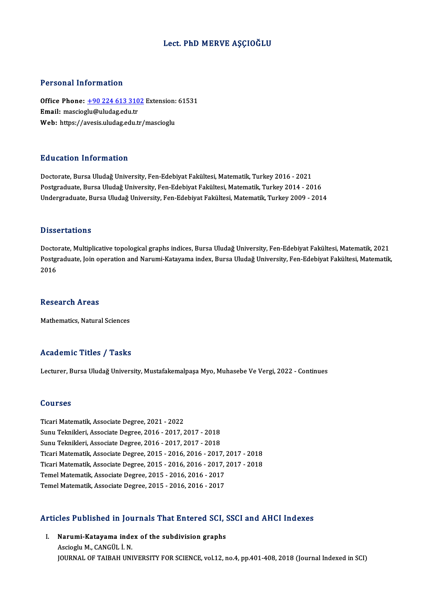#### Lect. PhD MERVE AŞÇIOĞLU

#### Personal Information

Personal Information<br>Office Phone: <u>+90 224 613 3102</u> Extension: 61531<br>Email: massiosly@uludas.edu.tr 1 ST SOMAT THEST MARTIST<br>Office Phone: <u>+90 224 613 310</u><br>Email: masciog[lu@uludag.edu.tr](tel:+90 224 613 3102) Office Phone: <u>+90 224 613 3102</u> Extension:<br>Email: mascioglu@uludag.edu.tr<br>Web: https://avesis.uludag.edu.tr/mascioglu Web: https://avesis.uludag.edu.tr/mascioglu<br>Education Information

Doctorate, Bursa Uludağ University, Fen-Edebiyat Fakültesi, Matematik, Turkey 2016 - 2021 Postgraduate, Bursa Uludağ University, Fen-Edebiyat Fakültesi, Matematik, Turkey 2014 - 2016 Undergraduate, Bursa Uludağ University, Fen-Edebiyat Fakültesi, Matematik, Turkey 2009 - 2014

#### **Dissertations**

Doctorate, Multiplicative topological graphs indices, Bursa Uludağ University, Fen-Edebiyat Fakültesi, Matematik, 2021 D'isser tatronis<br>Doctorate, Multiplicative topological graphs indices, Bursa Uludağ University, Fen-Edebiyat Fakültesi, Matematik, 2021<br>Postgraduate, Join operation and Narumi-Katayama index, Bursa Uludağ University, Fen-E Docto<br>Postgi<br>2016 2016<br>Research Areas

Mathematics, Natural Sciences

#### Academic Titles / Tasks

Lecturer, Bursa Uludağ University, Mustafakemalpaşa Myo, Muhasebe Ve Vergi, 2022 - Continues

#### Courses

Ticari Matematik, Associate Degree, 2021 - 2022 Sourses<br>Ticari Matematik, Associate Degree, 2021 - 2022<br>Sunu Teknikleri, Associate Degree, 2016 - 2017, 2017 - 2018<br>Sunu Teknikleri, Associate Degree, 2016 - 2017, 2017 - 2019 Ticari Matematik, Associate Degree, 2021 - 2022<br>Sunu Teknikleri, Associate Degree, 2016 - 2017, 2017 - 2018<br>Sunu Teknikleri, Associate Degree, 2016 - 2017, 2017 - 2018<br>Ticari Matematik, Associate Degree, 2016 - 2016, 2016 Sunu Teknikleri, Associate Degree, 2016 - 2017, 2017 - 2018<br>Sunu Teknikleri, Associate Degree, 2016 - 2017, 2017 - 2018<br>Ticari Matematik, Associate Degree, 2015 - 2016, 2016 - 2017, 2017 - 2018<br>Ticari Matematik, Associate Sunu Teknikleri, Associate Degree, 2016 - 2017, 2017 - 2018<br>Ticari Matematik, Associate Degree, 2015 - 2016, 2016 - 2017, 2017 - 2018<br>Ticari Matematik, Associate Degree, 2015 - 2016, 2016 - 2017, 2017 - 2018<br>Temel Matemati Ticari Matematik, Associate Degree, 2015 - 2016, 2016 - 2017,<br>Ticari Matematik, Associate Degree, 2015 - 2016, 2016 - 2017,<br>Temel Matematik, Associate Degree, 2015 - 2016, 2016 - 2017<br>Temel Matematik, Associate Degree, 201 Ticari Matematik, Associate Degree, 2015 - 2016, 2016 - 2017, :<br>Temel Matematik, Associate Degree, 2015 - 2016, 2016 - 2017<br>Temel Matematik, Associate Degree, 2015 - 2016, 2016 - 2017

# 1emer Matematik, Associate Degree, 2015 - 2016, 2016 - 2017<br>Articles Published in Journals That Entered SCI, SSCI and AHCI Indexes

rticles Published in Journals That Entered SCI, 9<br>I. Narumi-Katayama index of the subdivision graphs<br>Assiscly M. CANCÜL LN I. Narumi-Katayama index of the subdivision graphs<br>Ascioglu M., CANGÜL İ. N. JOURNAL OF TAIBAH UNIVERSITY FOR SCIENCE, vol.12, no.4, pp.401-408, 2018 (Journal Indexed in SCI)